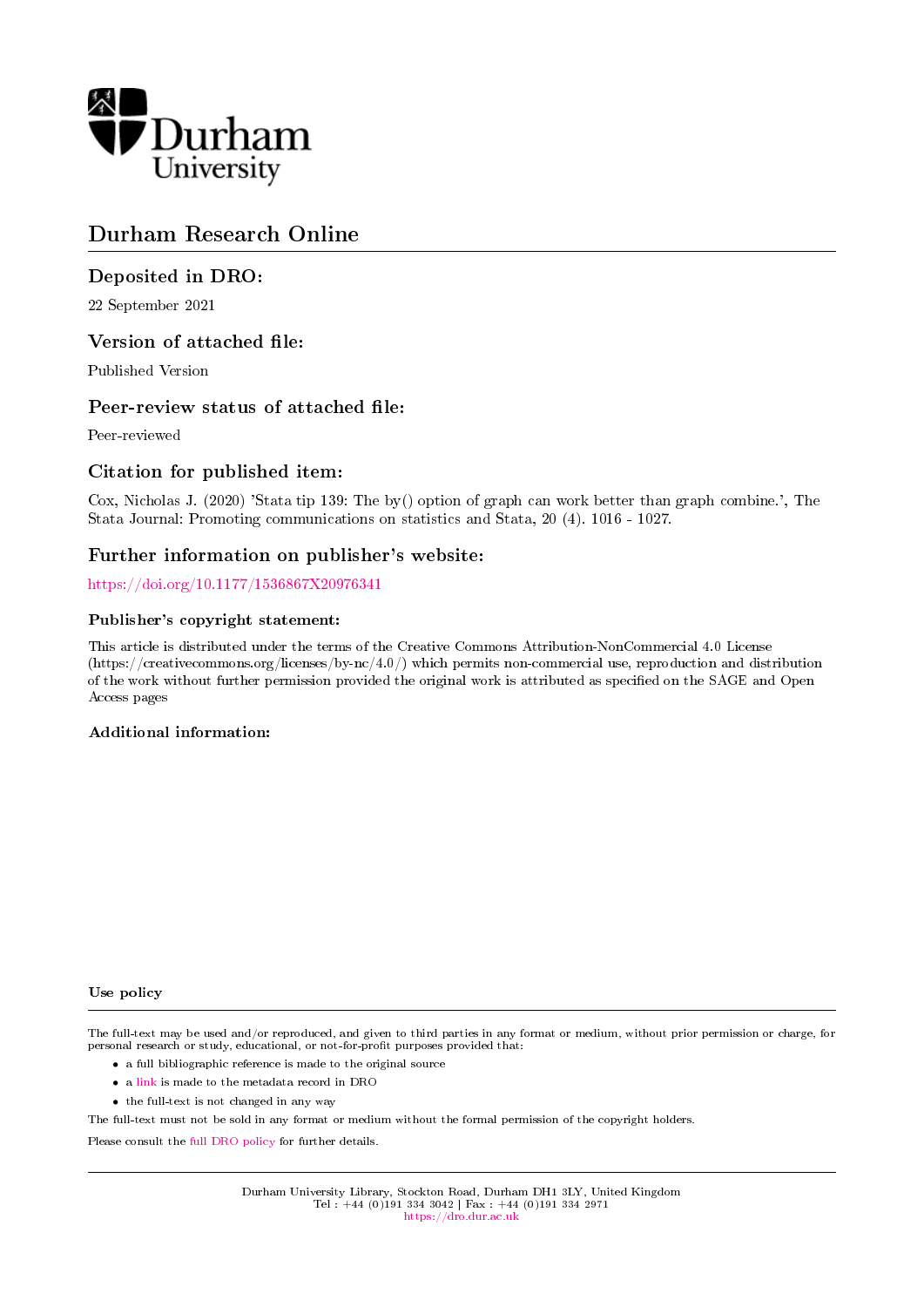

## Durham Research Online

## Deposited in DRO:

22 September 2021

### Version of attached file:

Published Version

### Peer-review status of attached file:

Peer-reviewed

## Citation for published item:

Cox, Nicholas J. (2020) 'Stata tip 139: The by() option of graph can work better than graph combine.', The Stata Journal: Promoting communications on statistics and Stata, 20 (4). 1016 - 1027.

## Further information on publisher's website:

<https://doi.org/10.1177/1536867X20976341>

### Publisher's copyright statement:

This article is distributed under the terms of the Creative Commons Attribution-NonCommercial 4.0 License (https://creativecommons.org/licenses/by-nc/4.0/) which permits non-commercial use, reproduction and distribution of the work without further permission provided the original work is attributed as specified on the SAGE and Open Access pages

### Additional information:

#### Use policy

The full-text may be used and/or reproduced, and given to third parties in any format or medium, without prior permission or charge, for personal research or study, educational, or not-for-profit purposes provided that:

- a full bibliographic reference is made to the original source
- a [link](http://dro.dur.ac.uk/33934/) is made to the metadata record in DRO
- the full-text is not changed in any way

The full-text must not be sold in any format or medium without the formal permission of the copyright holders.

Please consult the [full DRO policy](https://dro.dur.ac.uk/policies/usepolicy.pdf) for further details.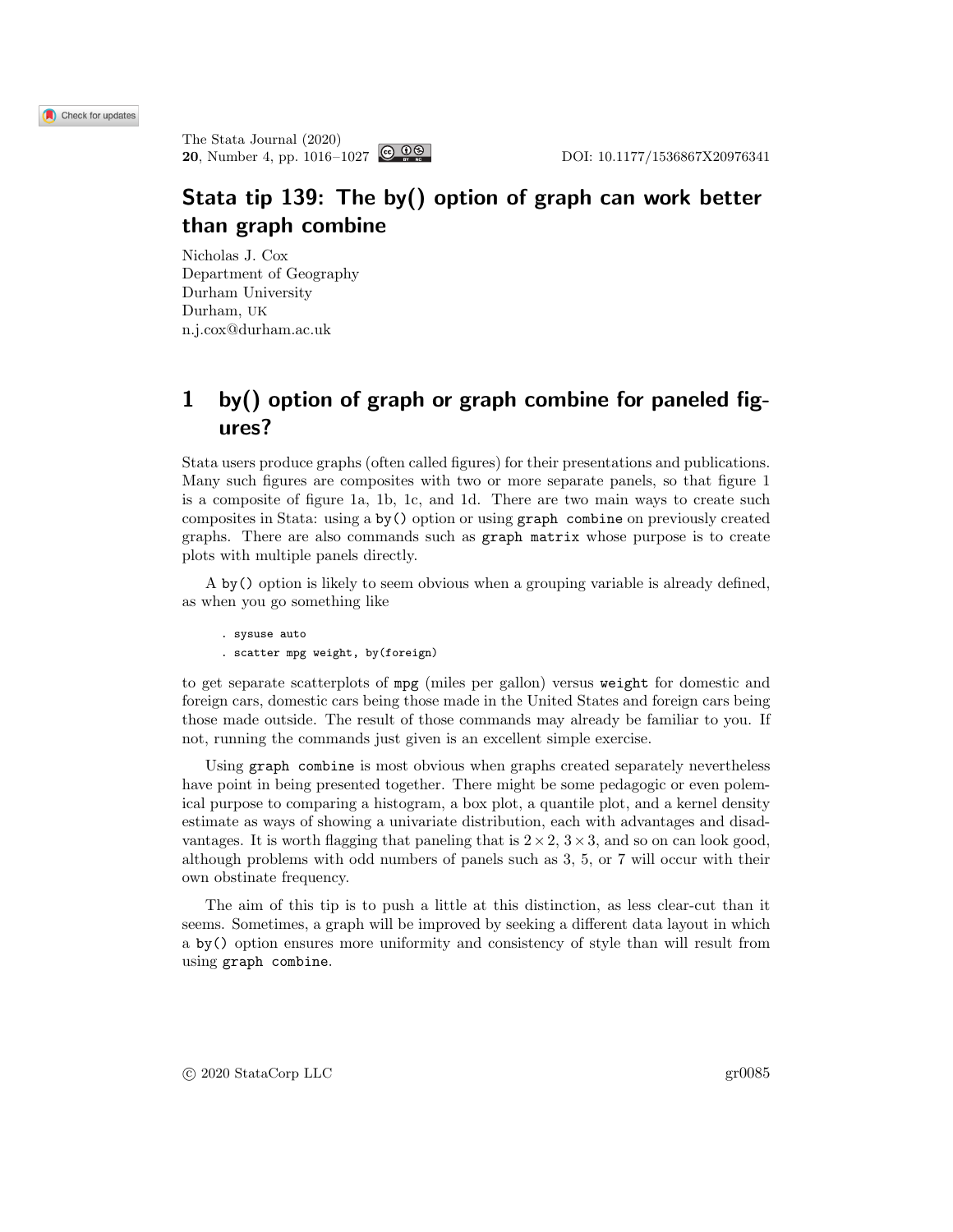# Stata tip 139: The by() option of graph can work better than graph combine

Nicholas J. Cox Department of Geography Durham University Durham, UK n.j.cox@durham.ac.uk

# 1 by() option of graph or graph combine for paneled figures?

Stata users produce graphs (often called figures) for their presentations and publications. Many such figures are composites with two or more separate panels, so that figure 1 is a composite of figure 1a, 1b, 1c, and 1d. There are two main ways to create such composites in Stata: using a by() option or using graph combine on previously created graphs. There are also commands such as graph matrix whose purpose is to create plots with multiple panels directly.

A by() option is likely to seem obvious when a grouping variable is already defined, as when you go something like

```
. sysuse auto
. scatter mpg weight, by(foreign)
```
to get separate scatterplots of mpg (miles per gallon) versus weight for domestic and foreign cars, domestic cars being those made in the United States and foreign cars being those made outside. The result of those commands may already be familiar to you. If not, running the commands just given is an excellent simple exercise.

Using graph combine is most obvious when graphs created separately nevertheless have point in being presented together. There might be some pedagogic or even polemical purpose to comparing a histogram, a box plot, a quantile plot, and a kernel density estimate as ways of showing a univariate distribution, each with advantages and disadvantages. It is worth flagging that paneling that is  $2 \times 2$ ,  $3 \times 3$ , and so on can look good, although problems with odd numbers of panels such as 3, 5, or 7 will occur with their own obstinate frequency.

The aim of this tip is to push a little at this distinction, as less clear-cut than it seems. Sometimes, a graph will be improved by seeking a different data layout in which a by() option ensures more uniformity and consistency of style than will result from using graph combine.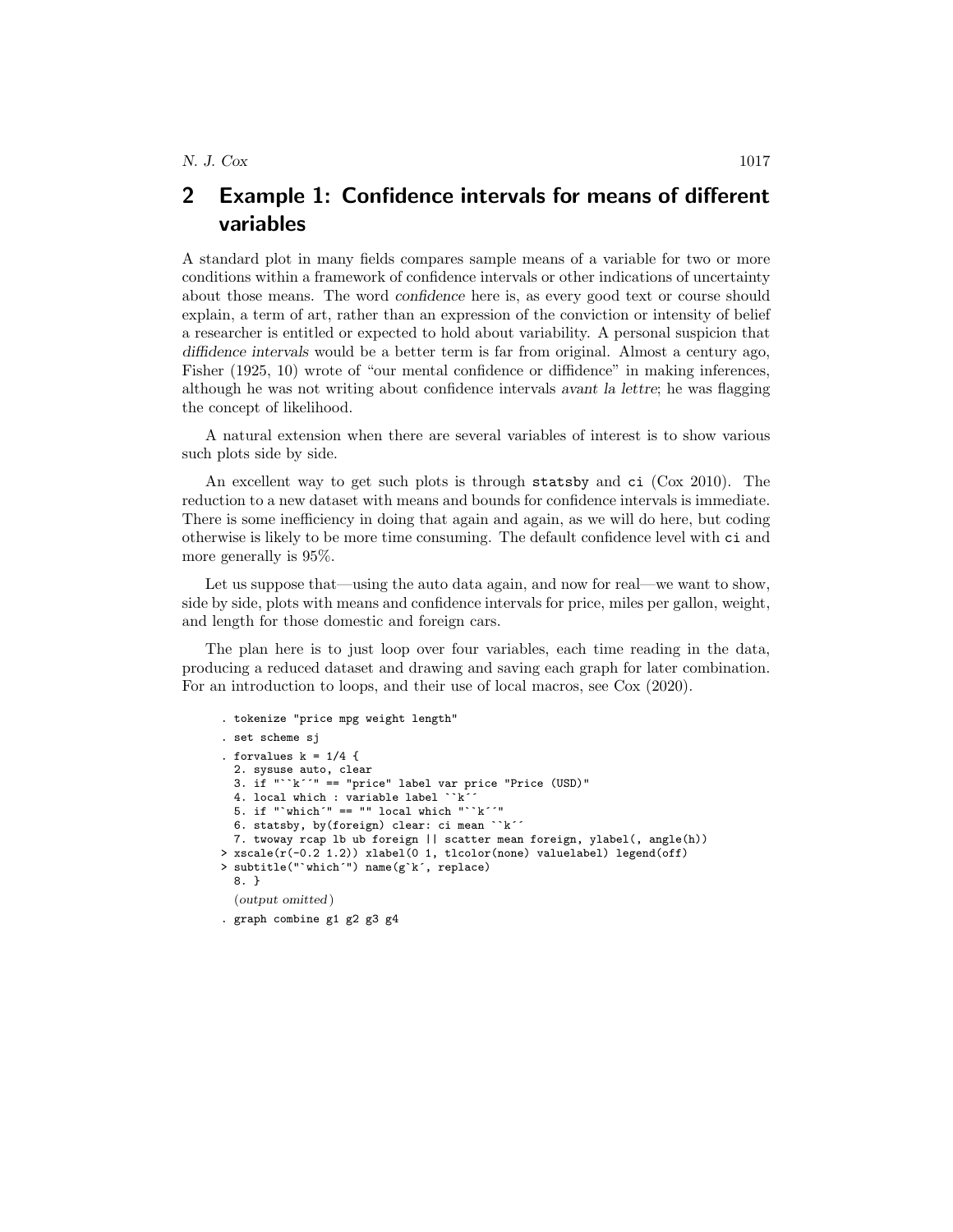## 2 Example 1: Confidence intervals for means of different variables

A standard plot in many fields compares sample means of a variable for two or more conditions within a framework of confidence intervals or other indications of uncertainty about those means. The word confidence here is, as every good text or course should explain, a term of art, rather than an expression of the conviction or intensity of belief a researcher is entitled or expected to hold about variability. A personal suspicion that diffidence intervals would be a better term is far from original. Almost a century ago, [Fisher](#page-11-0) [\(1925,](#page-11-0) 10) wrote of "our mental confidence or diffidence" in making inferences, although he was not writing about confidence intervals avant la lettre; he was flagging the concept of likelihood.

A natural extension when there are several variables of interest is to show various such plots side by side.

An excellent way to get such plots is through statsby and ci [\(Cox 2010\)](#page-11-1). The reduction to a new dataset with means and bounds for confidence intervals is immediate. There is some inefficiency in doing that again and again, as we will do here, but coding otherwise is likely to be more time consuming. The default confidence level with ci and more generally is 95%.

Let us suppose that—using the auto data again, and now for real—we want to show, side by side, plots with means and confidence intervals for price, miles per gallon, weight, and length for those domestic and foreign cars.

The plan here is to just loop over four variables, each time reading in the data, producing a reduced dataset and drawing and saving each graph for later combination. For an introduction to loops, and their use of local macros, see [Cox](#page-11-2) [\(2020\)](#page-11-2).

```
. tokenize "price mpg weight length"
. set scheme sj
. forvalues k = 1/4 {
  2. sysuse auto, clear
  3. if "``k´´" == "price" label var price "Price (USD)"
  4. local which : variable label ``k<sup>*</sup>
  5. if "'which'" == "" local which "''k''"
  6. statsby, by(foreign) clear: ci mean ``k´´
  7. twoway rcap lb ub foreign || scatter mean foreign, ylabel(, angle(h))
> xscale(r(-0.2 1.2)) xlabel(0 1, tlcolor(none) valuelabel) legend(off)
> subtitle("`which´") name(g`k´, replace)
  8. }
  (output omitted )
. graph combine g1 g2 g3 g4
```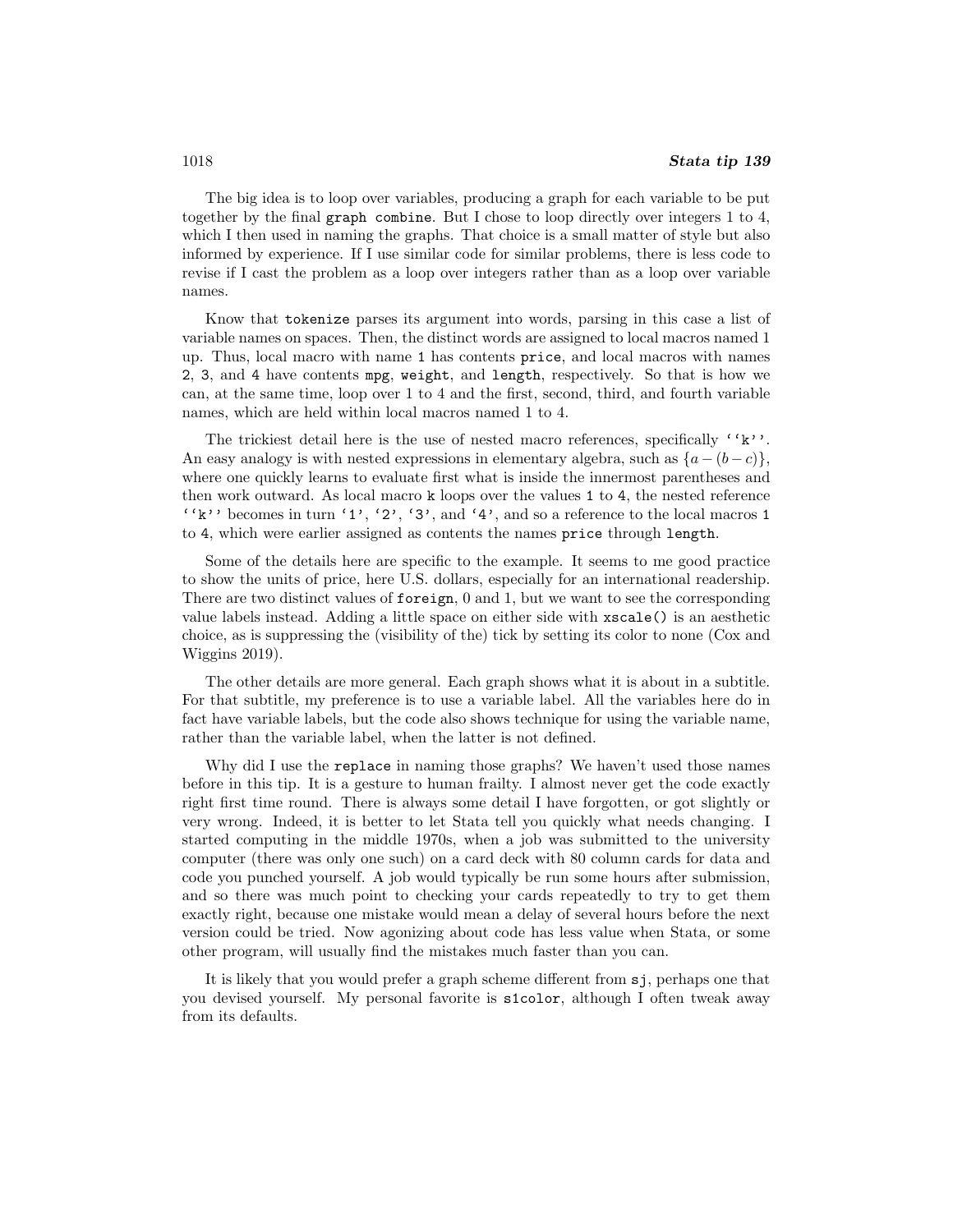The big idea is to loop over variables, producing a graph for each variable to be put together by the final graph combine. But I chose to loop directly over integers 1 to 4, which I then used in naming the graphs. That choice is a small matter of style but also informed by experience. If I use similar code for similar problems, there is less code to revise if I cast the problem as a loop over integers rather than as a loop over variable names.

Know that tokenize parses its argument into words, parsing in this case a list of variable names on spaces. Then, the distinct words are assigned to local macros named 1 up. Thus, local macro with name 1 has contents price, and local macros with names 2, 3, and 4 have contents mpg, weight, and length, respectively. So that is how we can, at the same time, loop over 1 to 4 and the first, second, third, and fourth variable names, which are held within local macros named 1 to 4.

The trickiest detail here is the use of nested macro references, specifically  $f'(\mathbf{k}')$ . An easy analogy is with nested expressions in elementary algebra, such as  $\{a - (b - c)\}\,$ where one quickly learns to evaluate first what is inside the innermost parentheses and then work outward. As local macro k loops over the values 1 to 4, the nested reference  $'$ k'' becomes in turn '1', '2', '3', and '4', and so a reference to the local macros 1 to 4, which were earlier assigned as contents the names price through length.

Some of the details here are specific to the example. It seems to me good practice to show the units of price, here U.S. dollars, especially for an international readership. There are two distinct values of foreign, 0 and 1, but we want to see the corresponding value labels instead. Adding a little space on either side with xscale() is an aesthetic choice, as is suppressing the (visibility of the) tick by setting its color to none [\(Cox and](#page-11-3) [Wiggins 2019\)](#page-11-3).

The other details are more general. Each graph shows what it is about in a subtitle. For that subtitle, my preference is to use a variable label. All the variables here do in fact have variable labels, but the code also shows technique for using the variable name, rather than the variable label, when the latter is not defined.

Why did I use the replace in naming those graphs? We haven't used those names before in this tip. It is a gesture to human frailty. I almost never get the code exactly right first time round. There is always some detail I have forgotten, or got slightly or very wrong. Indeed, it is better to let Stata tell you quickly what needs changing. I started computing in the middle 1970s, when a job was submitted to the university computer (there was only one such) on a card deck with 80 column cards for data and code you punched yourself. A job would typically be run some hours after submission, and so there was much point to checking your cards repeatedly to try to get them exactly right, because one mistake would mean a delay of several hours before the next version could be tried. Now agonizing about code has less value when Stata, or some other program, will usually find the mistakes much faster than you can.

It is likely that you would prefer a graph scheme different from sj, perhaps one that you devised yourself. My personal favorite is s1color, although I often tweak away from its defaults.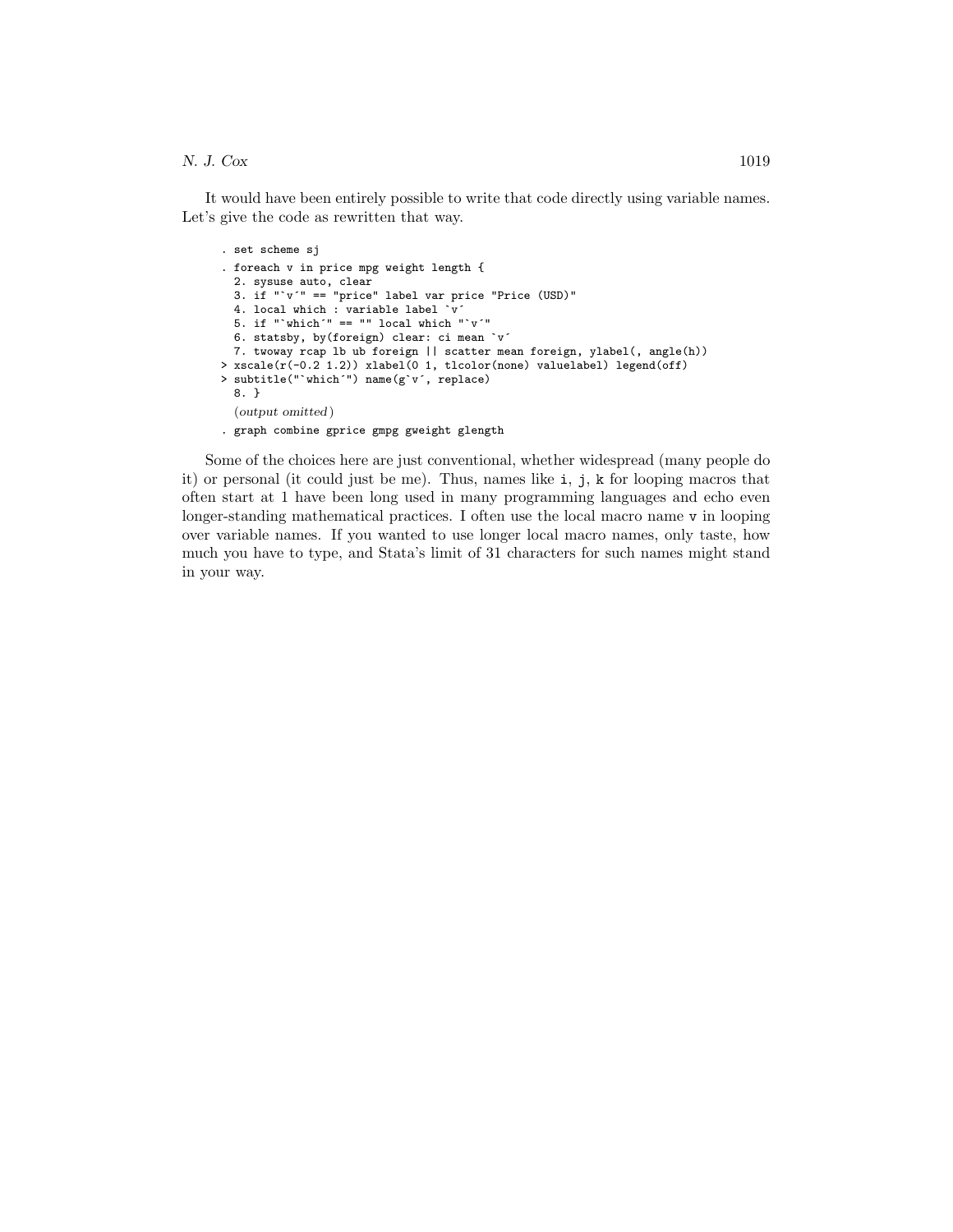It would have been entirely possible to write that code directly using variable names. Let's give the code as rewritten that way.

```
. set scheme sj
. foreach v in price mpg weight length {
 2. sysuse auto, clear
 3. if "`v´" == "price" label var price "Price (USD)"
 4. local which : variable label `v´
 5. if "'which'" == "" local which "'v'"
 6. statsby, by(foreign) clear: ci mean `v´
 7. twoway rcap lb ub foreign || scatter mean foreign, ylabel(, angle(h))
> xscale(r(-0.2 1.2)) xlabel(0 1, tlcolor(none) valuelabel) legend(off)
> subtitle("`which´") name(g`v´, replace)
 8. }
  (output omitted )
. graph combine gprice gmpg gweight glength
```
Some of the choices here are just conventional, whether widespread (many people do it) or personal (it could just be me). Thus, names like i, j, k for looping macros that often start at 1 have been long used in many programming languages and echo even longer-standing mathematical practices. I often use the local macro name v in looping over variable names. If you wanted to use longer local macro names, only taste, how much you have to type, and Stata's limit of 31 characters for such names might stand in your way.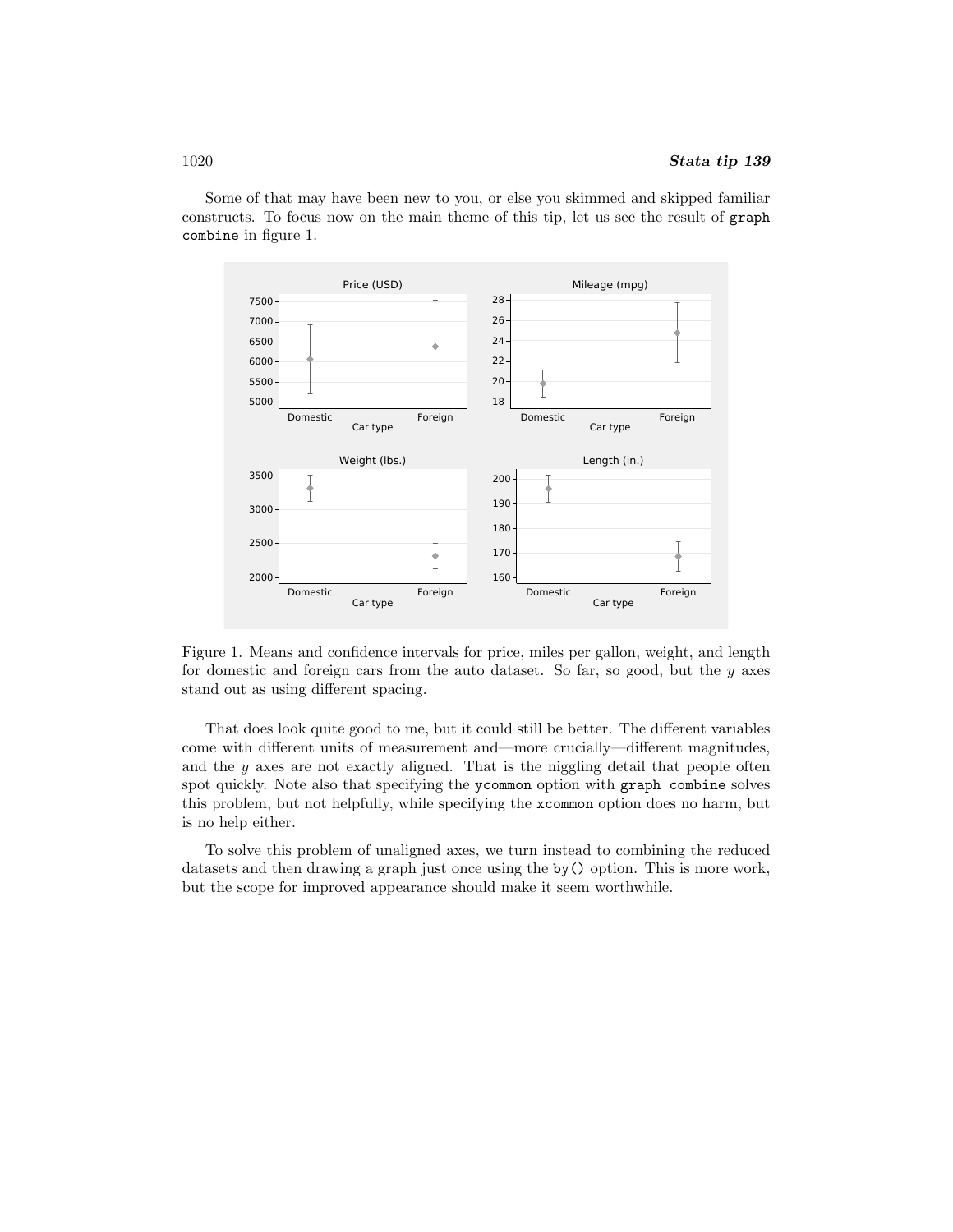Some of that may have been new to you, or else you skimmed and skipped familiar constructs. To focus now on the main theme of this tip, let us see the result of graph combine in figure 1.



Figure 1. Means and confidence intervals for price, miles per gallon, weight, and length for domestic and foreign cars from the auto dataset. So far, so good, but the  $\eta$  axes stand out as using different spacing.

That does look quite good to me, but it could still be better. The different variables come with different units of measurement and—more crucially—different magnitudes, and the  $y$  axes are not exactly aligned. That is the niggling detail that people often spot quickly. Note also that specifying the ycommon option with graph combine solves this problem, but not helpfully, while specifying the xcommon option does no harm, but is no help either.

To solve this problem of unaligned axes, we turn instead to combining the reduced datasets and then drawing a graph just once using the by() option. This is more work, but the scope for improved appearance should make it seem worthwhile.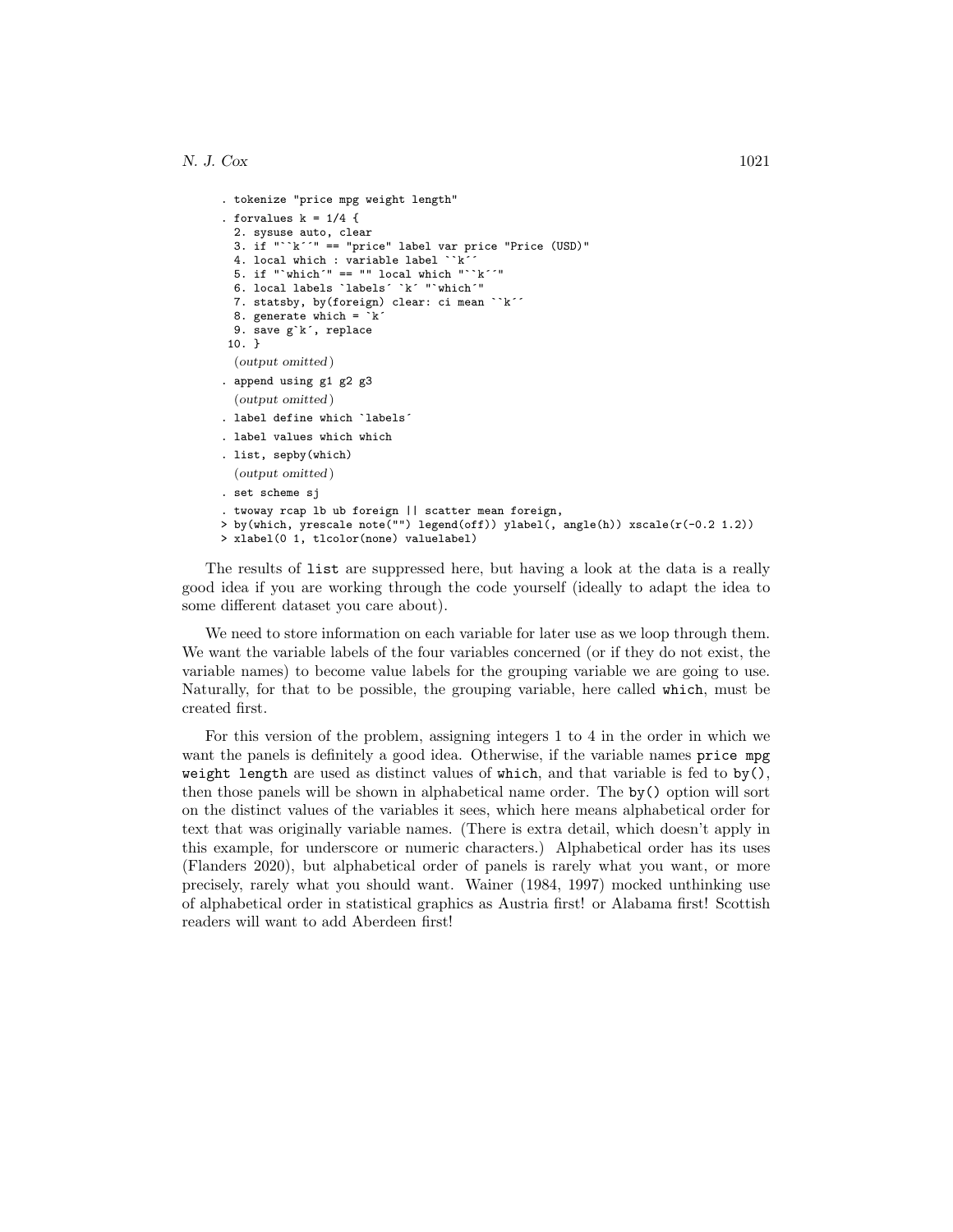```
. tokenize "price mpg weight length"
. forvalues k = 1/4 {
  2. sysuse auto, clear
  3. if "``k´´" == "price" label var price "Price (USD)"
  4. local which : variable label ``k<sup>7</sup>
  5. if "`which´" == "" local which "``k´´"
  6. local labels `labels´ `k´ "`which´"
  7. statsby, by(foreign) clear: ci mean ``k´´
  8. generate which = `k´
  9. save g`k´, replace
 10. }
  (output omitted )
. append using g1 g2 g3
  (output omitted )
. label define which `labels´
. label values which which
. list, sepby(which)
  (output omitted )
. set scheme sj
. twoway rcap lb ub foreign || scatter mean foreign,
> by(which, yrescale note("") legend(off)) ylabel(, angle(h)) xscale(r(-0.2 1.2))
> xlabel(0 1, tlcolor(none) valuelabel)
```
The results of list are suppressed here, but having a look at the data is a really good idea if you are working through the code yourself (ideally to adapt the idea to some different dataset you care about).

We need to store information on each variable for later use as we loop through them. We want the variable labels of the four variables concerned (or if they do not exist, the variable names) to become value labels for the grouping variable we are going to use. Naturally, for that to be possible, the grouping variable, here called which, must be created first.

For this version of the problem, assigning integers 1 to 4 in the order in which we want the panels is definitely a good idea. Otherwise, if the variable names price mpg weight length are used as distinct values of which, and that variable is fed to  $by()$ , then those panels will be shown in alphabetical name order. The by() option will sort on the distinct values of the variables it sees, which here means alphabetical order for text that was originally variable names. (There is extra detail, which doesn't apply in this example, for underscore or numeric characters.) Alphabetical order has its uses [\(Flanders 2020\)](#page-12-0), but alphabetical order of panels is rarely what you want, or more precisely, rarely what you should want. [Wainer](#page-12-1) [\(1984,](#page-12-1) [1997\)](#page-12-2) mocked unthinking use of alphabetical order in statistical graphics as Austria first! or Alabama first! Scottish readers will want to add Aberdeen first!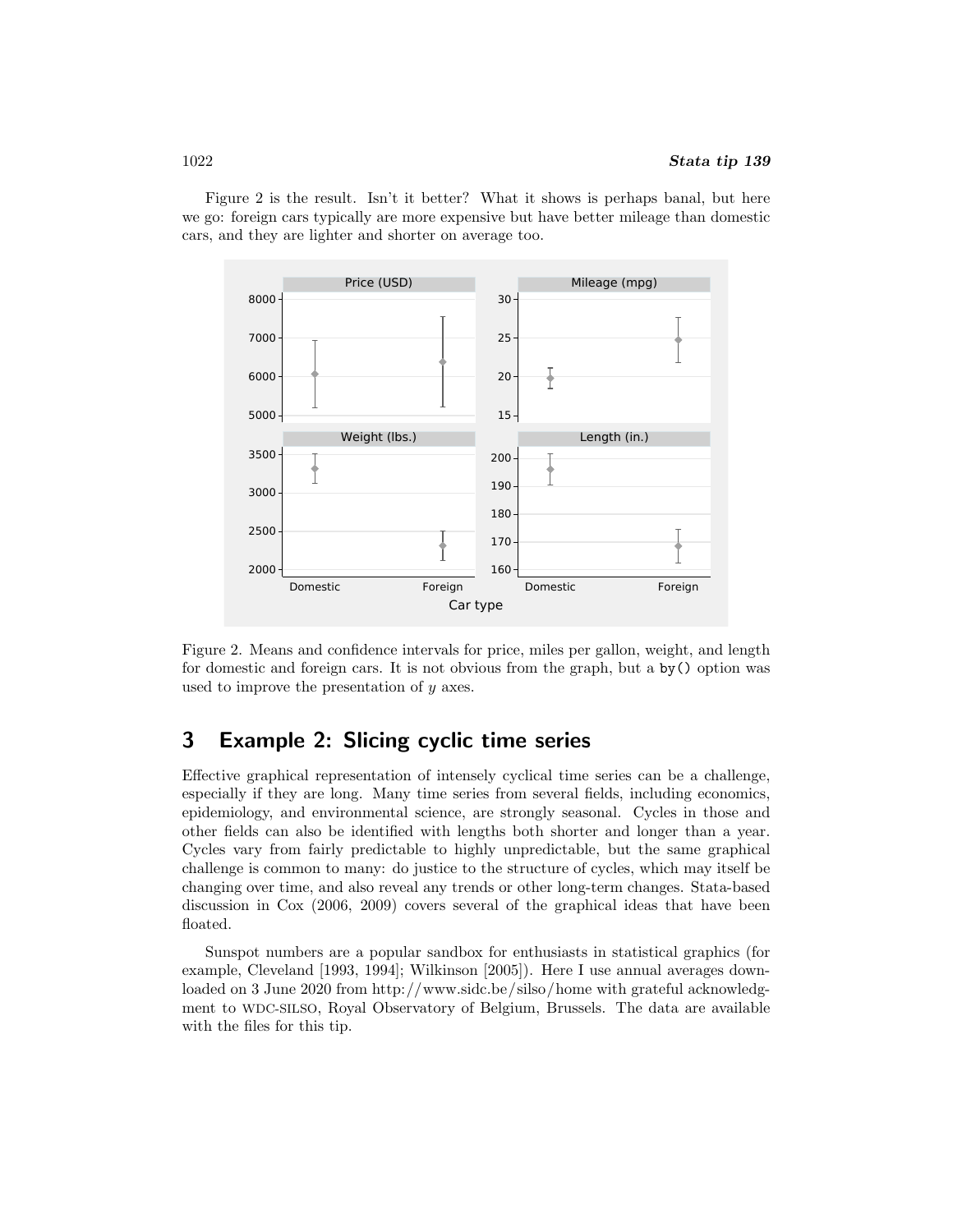Figure 2 is the result. Isn't it better? What it shows is perhaps banal, but here we go: foreign cars typically are more expensive but have better mileage than domestic cars, and they are lighter and shorter on average too.



Figure 2. Means and confidence intervals for price, miles per gallon, weight, and length for domestic and foreign cars. It is not obvious from the graph, but a by() option was used to improve the presentation of  $y$  axes.

## 3 Example 2: Slicing cyclic time series

Effective graphical representation of intensely cyclical time series can be a challenge, especially if they are long. Many time series from several fields, including economics, epidemiology, and environmental science, are strongly seasonal. Cycles in those and other fields can also be identified with lengths both shorter and longer than a year. Cycles vary from fairly predictable to highly unpredictable, but the same graphical challenge is common to many: do justice to the structure of cycles, which may itself be changing over time, and also reveal any trends or other long-term changes. Stata-based discussion in Cox [\(2006,](#page-11-4) [2009\)](#page-11-5) covers several of the graphical ideas that have been floated.

Sunspot numbers are a popular sandbox for enthusiasts in statistical graphics (for example, [Cleveland](#page-11-6) [\[1993,](#page-11-7) [1994\]](#page-11-6); [Wilkinson](#page-12-3) [\[2005\]](#page-12-3)). Here I use annual averages downloaded on 3 June 2020 from<http://www.sidc.be/silso/home> with grateful acknowledgment to WDC-SILSO, Royal Observatory of Belgium, Brussels. The data are available with the files for this tip.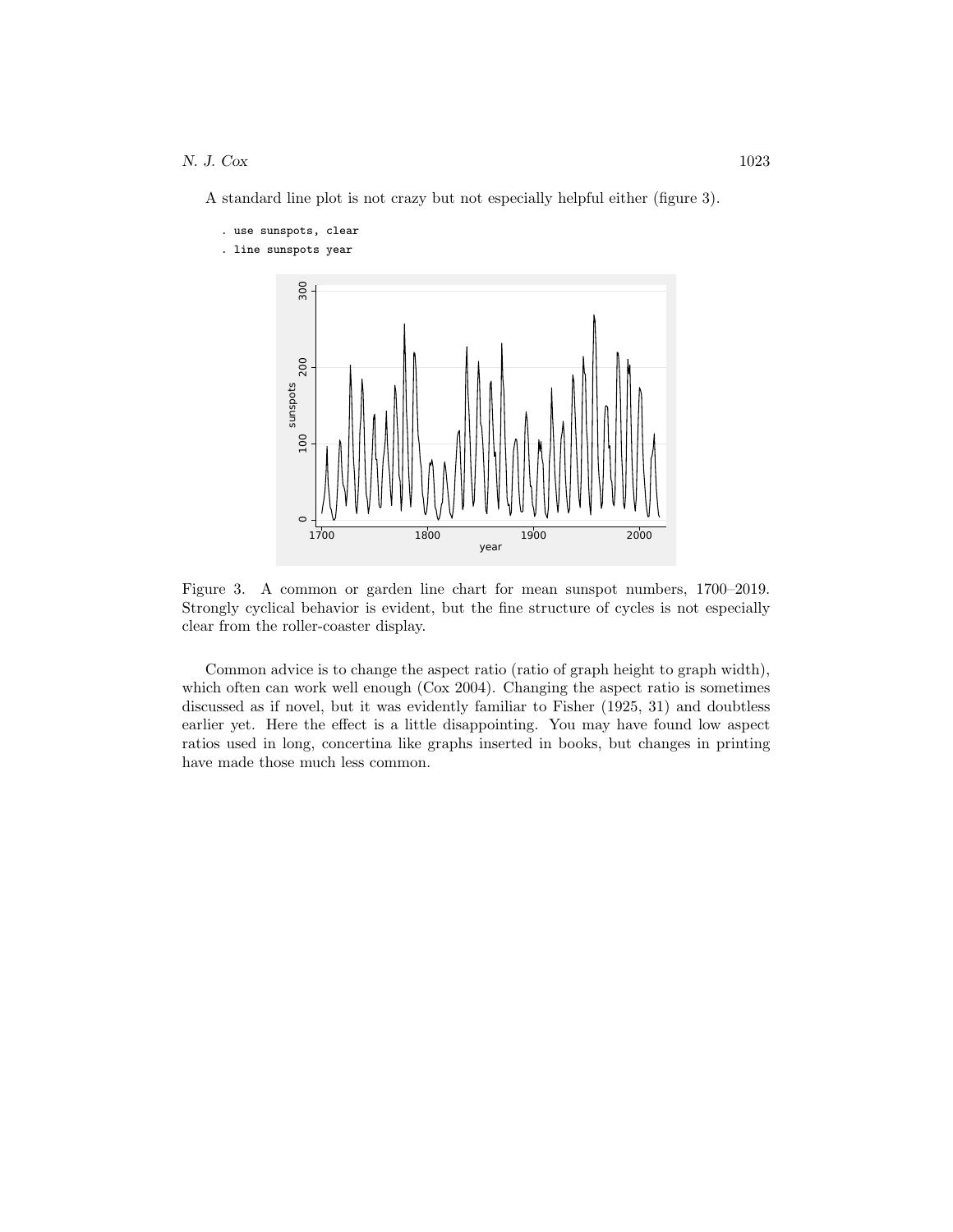A standard line plot is not crazy but not especially helpful either (figure 3).



Figure 3. A common or garden line chart for mean sunspot numbers, 1700–2019. Strongly cyclical behavior is evident, but the fine structure of cycles is not especially clear from the roller-coaster display.

Common advice is to change the aspect ratio (ratio of graph height to graph width), which often can work well enough [\(Cox 2004\)](#page-11-8). Changing the aspect ratio is sometimes discussed as if novel, but it was evidently familiar to [Fisher](#page-11-0) [\(1925,](#page-11-0) 31) and doubtless earlier yet. Here the effect is a little disappointing. You may have found low aspect ratios used in long, concertina like graphs inserted in books, but changes in printing have made those much less common.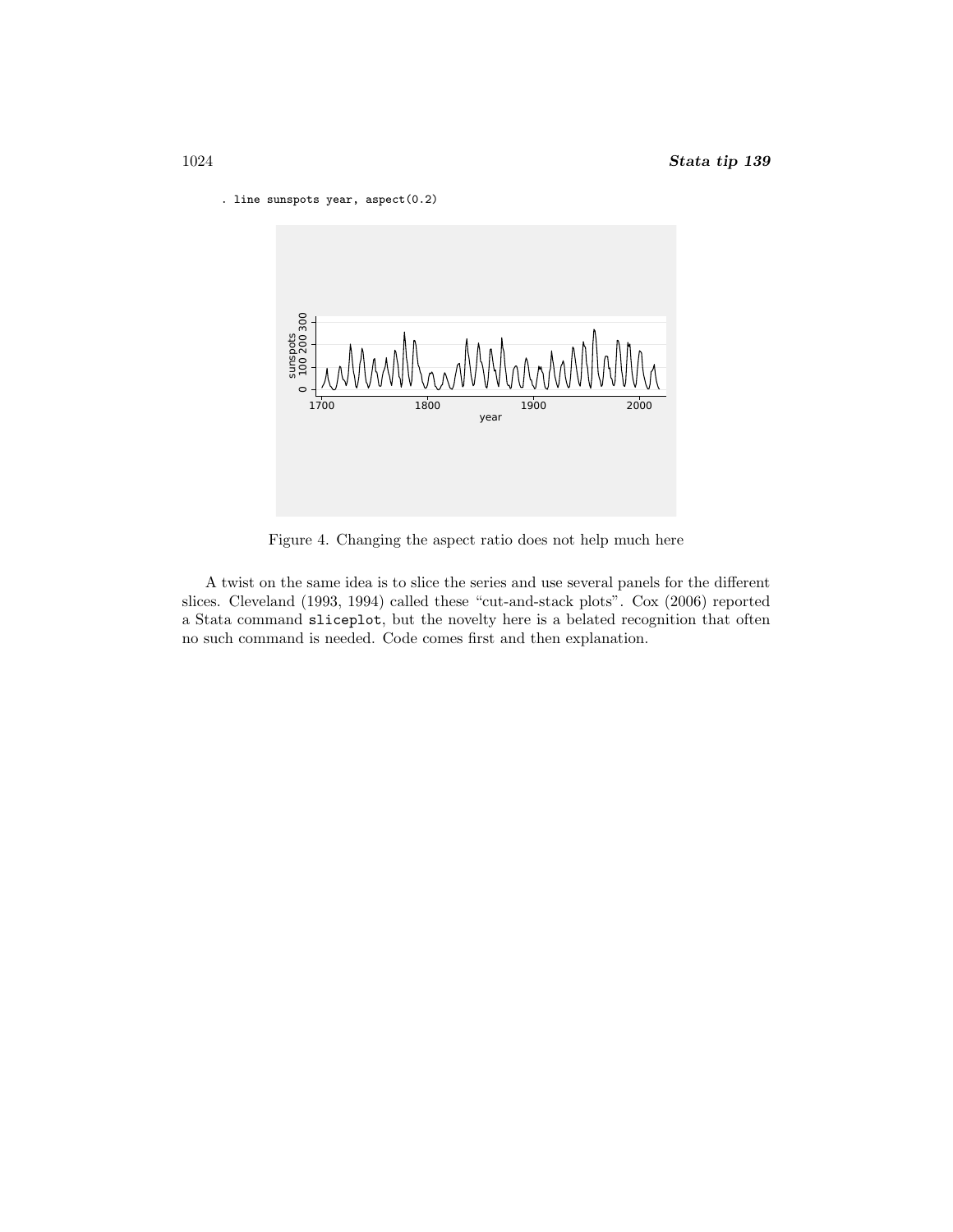```
. line sunspots year, aspect(0.2)
```


Figure 4. Changing the aspect ratio does not help much here

A twist on the same idea is to slice the series and use several panels for the different slices. [Cleveland](#page-11-7) [\(1993,](#page-11-7) [1994\)](#page-11-6) called these "cut-and-stack plots". [Cox](#page-11-4) [\(2006\)](#page-11-4) reported a Stata command sliceplot, but the novelty here is a belated recognition that often no such command is needed. Code comes first and then explanation.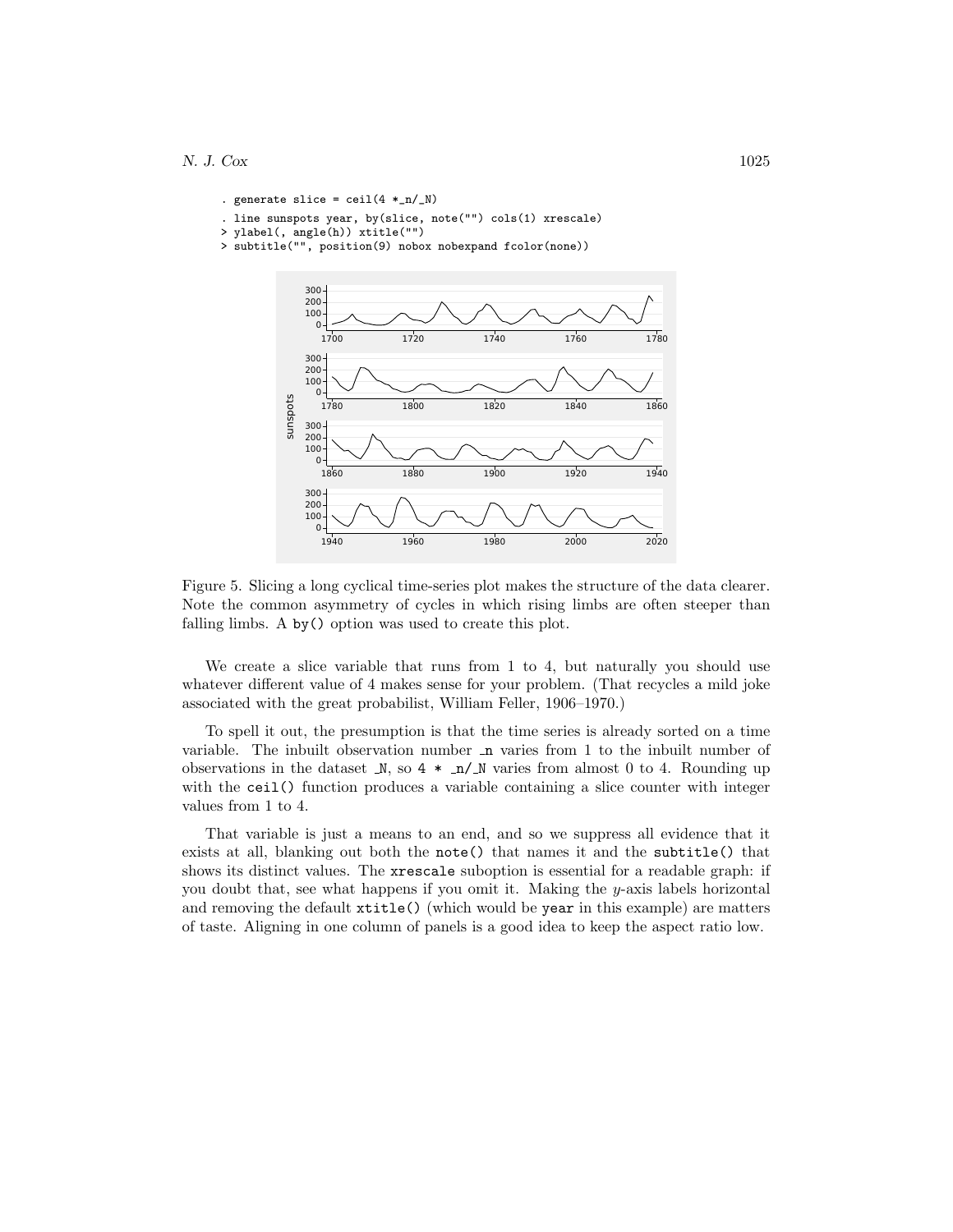```
. generate slice = ceil(4 *_n / N)
```
. line sunspots year, by(slice, note("") cols(1) xrescale)

```
> ylabel(, angle(h)) xtitle("")
```
> subtitle("", position(9) nobox nobexpand fcolor(none))



Figure 5. Slicing a long cyclical time-series plot makes the structure of the data clearer. Note the common asymmetry of cycles in which rising limbs are often steeper than falling limbs. A by() option was used to create this plot.

We create a slice variable that runs from 1 to 4, but naturally you should use whatever different value of 4 makes sense for your problem. (That recycles a mild joke associated with the great probabilist, William Feller, 1906–1970.)

To spell it out, the presumption is that the time series is already sorted on a time variable. The inbuilt observation number n varies from 1 to the inbuilt number of observations in the dataset  $\mathbb{N}$ , so  $4 \times \mathbb{N}$  N varies from almost 0 to 4. Rounding up with the ceil() function produces a variable containing a slice counter with integer values from 1 to 4.

That variable is just a means to an end, and so we suppress all evidence that it exists at all, blanking out both the note() that names it and the subtitle() that shows its distinct values. The xrescale suboption is essential for a readable graph: if you doubt that, see what happens if you omit it. Making the y-axis labels horizontal and removing the default xtitle() (which would be year in this example) are matters of taste. Aligning in one column of panels is a good idea to keep the aspect ratio low.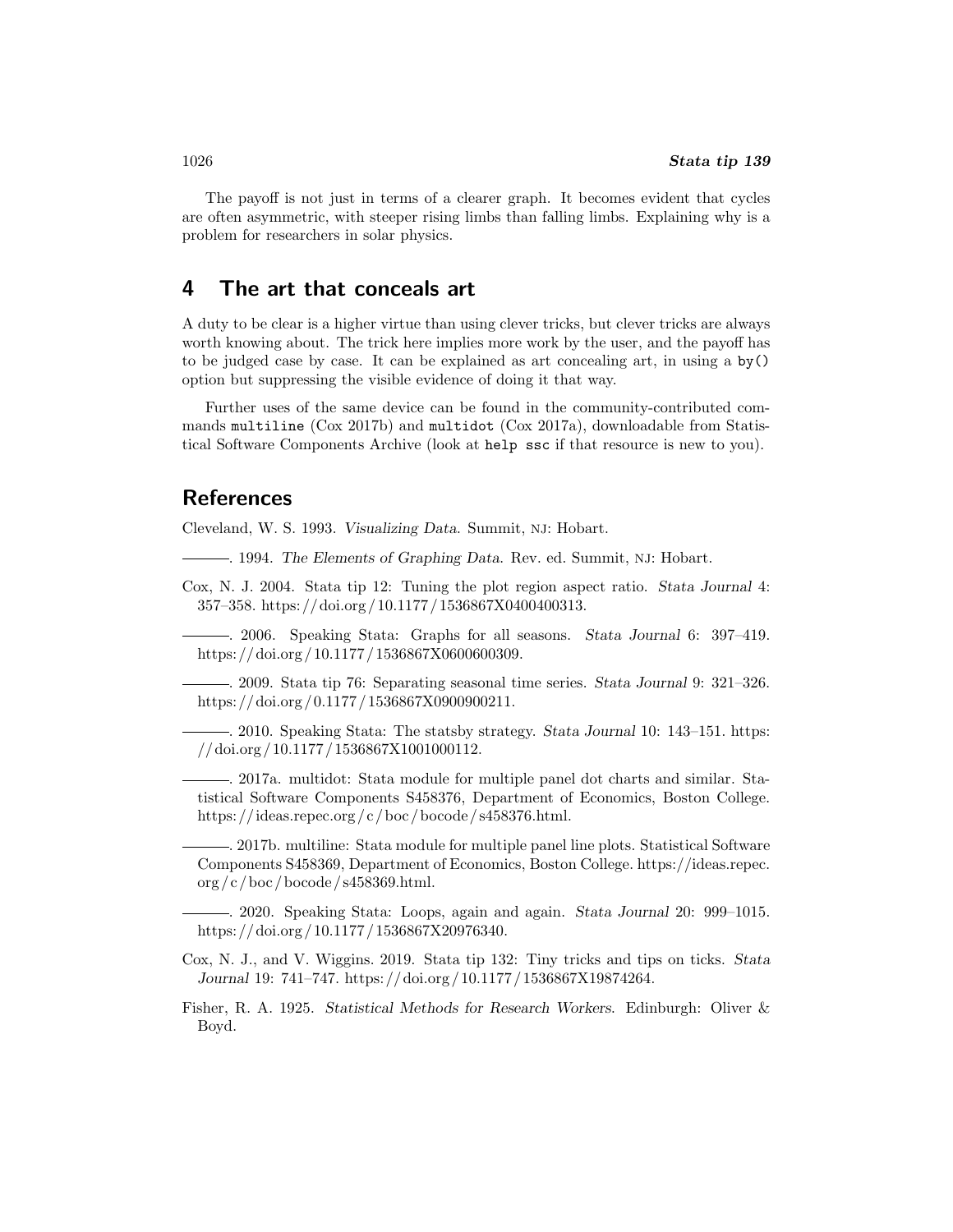The payoff is not just in terms of a clearer graph. It becomes evident that cycles are often asymmetric, with steeper rising limbs than falling limbs. Explaining why is a problem for researchers in solar physics.

## 4 The art that conceals art

A duty to be clear is a higher virtue than using clever tricks, but clever tricks are always worth knowing about. The trick here implies more work by the user, and the payoff has to be judged case by case. It can be explained as art concealing art, in using a by() option but suppressing the visible evidence of doing it that way.

Further uses of the same device can be found in the community-contributed commands multiline [\(Cox 2017b\)](#page-11-9) and multidot [\(Cox 2017a\)](#page-11-10), downloadable from Statistical Software Components Archive (look at help ssc if that resource is new to you).

## **References**

<span id="page-11-7"></span><span id="page-11-6"></span>Cleveland, W. S. 1993. Visualizing Data. Summit, NJ: Hobart.

. 1994. The Elements of Graphing Data. Rev. ed. Summit, NJ: Hobart.

<span id="page-11-8"></span>Cox, N. J. 2004. Stata tip 12: Tuning the plot region aspect ratio. Stata Journal 4: 357–358. [https: // doi.org / 10.1177 / 1536867X0400400313.](https://doi.org/10.1177/1536867X0400400313)

<span id="page-11-4"></span>. 2006. Speaking Stata: Graphs for all seasons. Stata Journal 6: 397–419. [https: // doi.org / 10.1177 / 1536867X0600600309.](https://doi.org/10.1177/1536867X0600600309)

<span id="page-11-5"></span>. 2009. Stata tip 76: Separating seasonal time series. Stata Journal 9: 321–326. [https: // doi.org / 0.1177 / 1536867X0900900211.](https://doi.org/0.1177/1536867X0900900211)

<span id="page-11-1"></span>. 2010. Speaking Stata: The statsby strategy. Stata Journal 10: 143–151. [https:](https://doi.org/10.1177/1536867X1001000112) [// doi.org / 10.1177 / 1536867X1001000112.](https://doi.org/10.1177/1536867X1001000112)

<span id="page-11-10"></span>. 2017a. multidot: Stata module for multiple panel dot charts and similar. Statistical Software Components S458376, Department of Economics, Boston College. https://ideas.repec.org/c/boc/bocode/s458376.html.

<span id="page-11-9"></span>. 2017b. multiline: Stata module for multiple panel line plots. Statistical Software Components S458369, Department of Economics, Boston College. [https://ideas.repec.](https://ideas.repec.org/c/boc/bocode/s458369.html) [org / c / boc / bocode / s458369.html.](https://ideas.repec.org/c/boc/bocode/s458369.html)

<span id="page-11-2"></span>. 2020. Speaking Stata: Loops, again and again. Stata Journal 20: 999–1015. [https: // doi.org / 10.1177 / 1536867X20976340.](https://doi.org/10.1177/1536867X20976340)

<span id="page-11-3"></span>Cox, N. J., and V. Wiggins. 2019. Stata tip 132: Tiny tricks and tips on ticks. Stata Journal 19: 741–747. [https: // doi.org / 10.1177 / 1536867X19874264.](https://doi.org/10.1177/1536867X19874264)

<span id="page-11-0"></span>Fisher, R. A. 1925. Statistical Methods for Research Workers. Edinburgh: Oliver & Boyd.